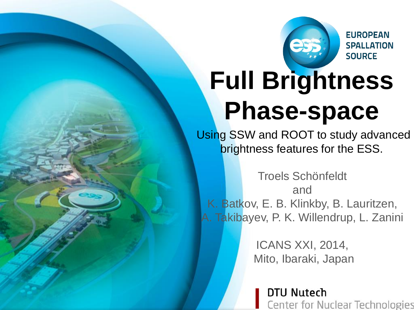

**EUROPEAN SPALLATION SOURCE** 

# **Full Brightness Phase-space**

Using SSW and ROOT to study advanced brightness features for the ESS.

Troels Schönfeldt and K. Batkov, E. B. Klinkby, B. Lauritzen, A. Takibayev, P. K. Willendrup, L. Zanini

> ICANS XXI, 2014, Mito, Ibaraki, Japan

> > **DTU Nutech Center for Nuclear Technologies**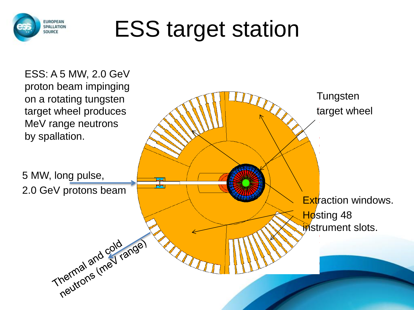

# ESS target station

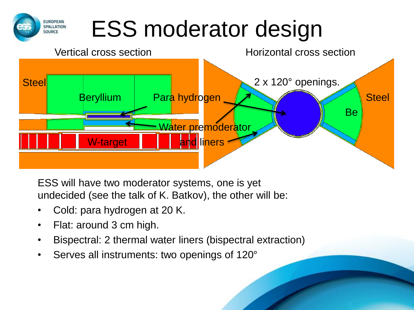## ESS moderator design



ESS will have two moderator systems, one is yet undecided (see the talk of K. Batkov), the other will be:

- Cold: para hydrogen at 20 K.
- Flat: around 3 cm high.

**EUROPEAN** SPALLATION SOURCE

- Bispectral: 2 thermal water liners (bispectral extraction)
- Serves all instruments: two openings of 120°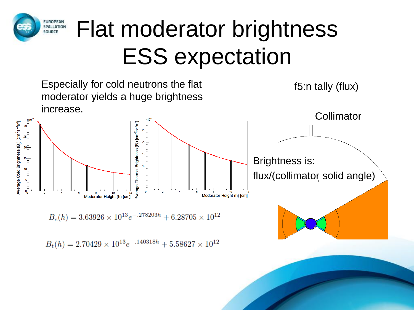#### **EUROPEAN** Flat moderator brightness SPALLATION SOURCE ESS expectation

Especially for cold neutrons the flat moderator yields a huge brightness increase.



 $B_c(h) = 3.63926 \times 10^{13} e^{-.278203h} + 6.28705 \times 10^{12}$ 

 $B_t(h) = 2.70429 \times 10^{13} e^{-0.140318h} + 5.58627 \times 10^{12}$ 

f5:n tally (flux)

**Collimator** 

Brightness is: flux/(collimator solid angle)

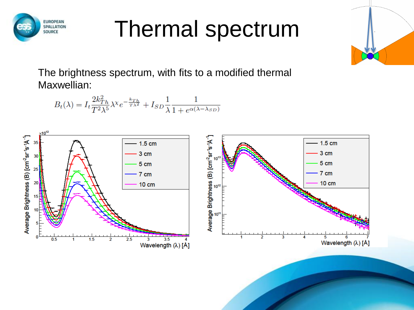

#### Thermal spectrum



The brightness spectrum, with fits to a modified thermal Maxwellian:

$$
B_t(\lambda) = I_t \frac{2k_{Th}^2}{T^2 \lambda^5} \lambda^\chi e^{-\frac{k_{Th}}{T\lambda^2}} + I_{SD} \frac{1}{\lambda} \frac{1}{1 + e^{\alpha(\lambda - \lambda_{SD})}}
$$

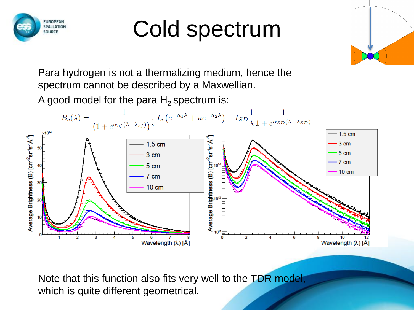

### Cold spectrum



Para hydrogen is not a thermalizing medium, hence the spectrum cannot be described by a Maxwellian.

A good model for the para  $H_2$  spectrum is:



Note that this function also fits very well to the TDR model, which is quite different geometrical.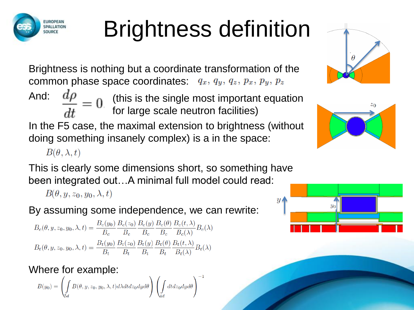

Brightness is nothing but a coordinate transformation of the common phase space coordinates:  $q_x$ ,  $q_y$ ,  $q_z$ ,  $p_x$ ,  $p_y$ ,  $p_z$ And: In the F5 case, the maximal extension to brightness (without doing something insanely complex) is a in the space: (this is the single most important equation for large scale neutron facilities)

 $B(\theta, \lambda, t)$ 

EUROPEAN SOURCE

This is clearly some dimensions short, so something have been integrated out…A minimal full model could read:

 $B(\theta, y, z_0, y_0, \lambda, t)$ 

By assuming some independence, we can rewrite:

 $B_c(\theta,y,z_0,y_0,\lambda,t)=\frac{B_c(y_0)}{B_c}\frac{B_c(z_0)}{B_c}\frac{B_c(y)}{B_c}\frac{B_c(\theta)}{B_c}\frac{B_c(t,\lambda)}{B_c(\lambda)}B_c(\lambda)$  $B_t(\theta, y, z_0, y_0, \lambda, t) = \frac{B_t(y_0)}{B_t} \frac{B_t(z_0)}{B_t} \frac{B_t(y)}{B_t} \frac{B_t(\theta)}{B_t} \frac{B_t(t, \lambda)}{B_t(\lambda)} B_t(\lambda)$ 

Where for example:

$$
B(y_0)=\left(\int\limits_{5d}B(\theta,y,z_0,y_0,\lambda,t)d\lambda dtdz_0dyd\theta\right)\left(\int\limits_{4d}dtdz_0dyd\theta\right)^{-1}
$$





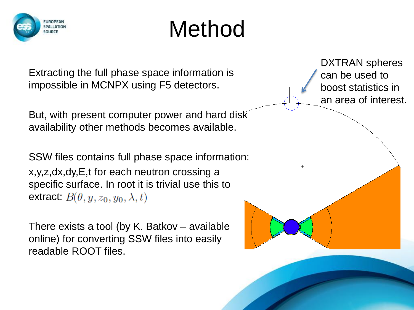

#### Method

Extracting the full phase space information is impossible in MCNPX using F5 detectors.

But, with present computer power and hard disk availability other methods becomes available.

SSW files contains full phase space information: x,y,z,dx,dy,E,t for each neutron crossing a specific surface. In root it is trivial use this to extract:  $B(\theta, y, z_0, y_0, \lambda, t)$ 

There exists a tool (by K. Batkov – available online) for converting SSW files into easily readable ROOT files.

DXTRAN spheres can be used to boost statistics in an area of interest.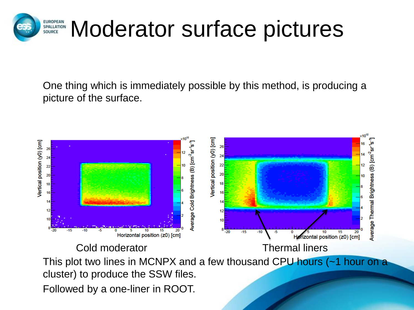

One thing which is immediately possible by this method, is producing a picture of the surface.

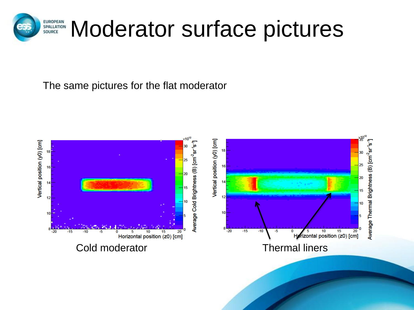

The same pictures for the flat moderator

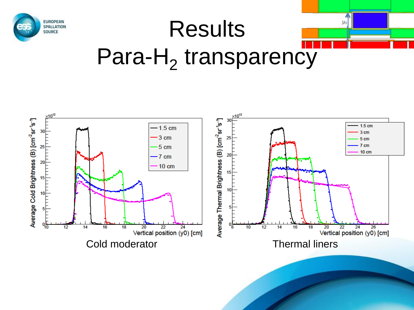

# **Results** Para-H<sub>2</sub> transparency

 $y_0$ 

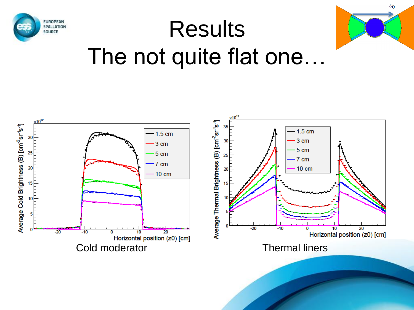



 $z_0$ 

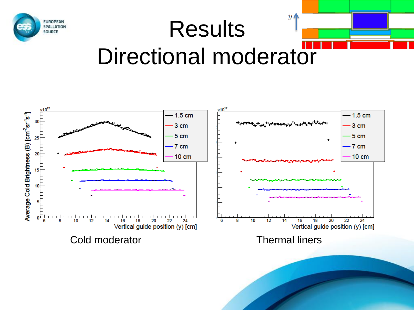

#### $y_{\parallel}$ **Results** Directional moderator



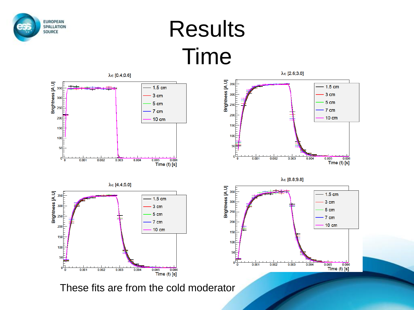

#### Results Time



These fits are from the cold moderator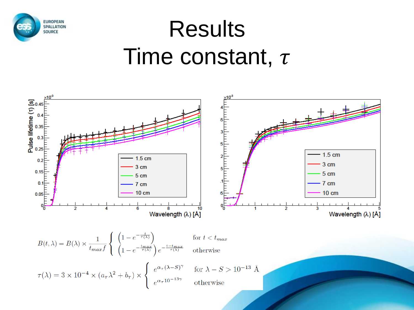

#### Results Time constant,  $\tau$